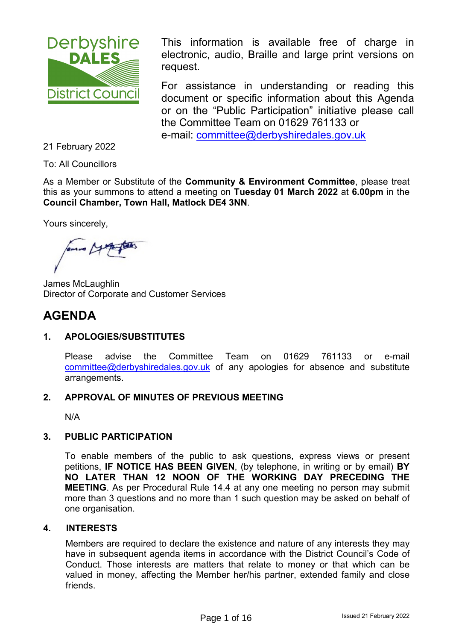

This information is available free of charge in electronic, audio, Braille and large print versions on request.

For assistance in understanding or reading this document or specific information about this Agenda or on the "Public Participation" initiative please call the Committee Team on 01629 761133 or e-mail: [committee@derbyshiredales.gov.uk](mailto:committee@derbyshiredales.gov.uk) 

21 February 2022

To: All Councillors

As a Member or Substitute of the **Community & Environment Committee**, please treat this as your summons to attend a meeting on **Tuesday 01 March 2022** at **6.00pm** in the **Council Chamber, Town Hall, Matlock DE4 3NN**.

Yours sincerely,

James McLaughlin Director of Corporate and Customer Services

# **AGENDA**

## **1. APOLOGIES/SUBSTITUTES**

Please advise the Committee Team on 01629 761133 or e-mail [committee@derbyshiredales.gov.uk](mailto:committee@derbyshiredales.gov.uk) of any apologies for absence and substitute arrangements.

#### **2. APPROVAL OF MINUTES OF PREVIOUS MEETING**

N/A

#### **3. PUBLIC PARTICIPATION**

To enable members of the public to ask questions, express views or present petitions, **IF NOTICE HAS BEEN GIVEN**, (by telephone, in writing or by email) **BY NO LATER THAN 12 NOON OF THE WORKING DAY PRECEDING THE MEETING**. As per Procedural Rule 14.4 at any one meeting no person may submit more than 3 questions and no more than 1 such question may be asked on behalf of one organisation.

#### **4. INTERESTS**

Members are required to declare the existence and nature of any interests they may have in subsequent agenda items in accordance with the District Council's Code of Conduct. Those interests are matters that relate to money or that which can be valued in money, affecting the Member her/his partner, extended family and close friends.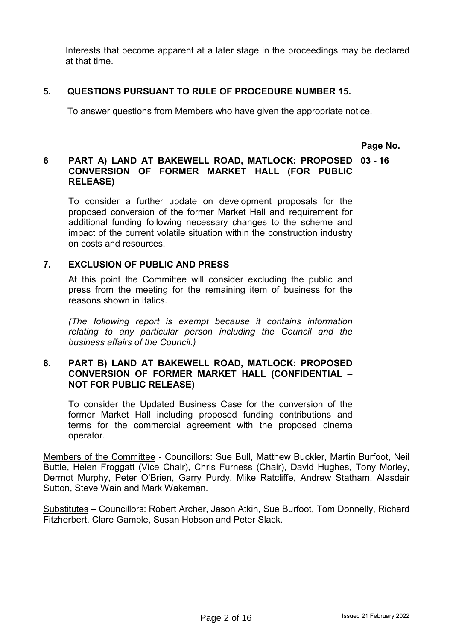Interests that become apparent at a later stage in the proceedings may be declared at that time.

### **5. QUESTIONS PURSUANT TO RULE OF PROCEDURE NUMBER 15.**

To answer questions from Members who have given the appropriate notice.

**Page No.**

#### **6 PART A) LAND AT BAKEWELL ROAD, MATLOCK: PROPOSED 03 - 16 CONVERSION OF FORMER MARKET HALL (FOR PUBLIC RELEASE)**

To consider a further update on development proposals for the proposed conversion of the former Market Hall and requirement for additional funding following necessary changes to the scheme and impact of the current volatile situation within the construction industry on costs and resources.

#### **7. EXCLUSION OF PUBLIC AND PRESS**

At this point the Committee will consider excluding the public and press from the meeting for the remaining item of business for the reasons shown in italics.

*(The following report is exempt because it contains information relating to any particular person including the Council and the business affairs of the Council.)*

#### **8. PART B) LAND AT BAKEWELL ROAD, MATLOCK: PROPOSED CONVERSION OF FORMER MARKET HALL (CONFIDENTIAL – NOT FOR PUBLIC RELEASE)**

To consider the Updated Business Case for the conversion of the former Market Hall including proposed funding contributions and terms for the commercial agreement with the proposed cinema operator.

Members of the Committee - Councillors: Sue Bull, Matthew Buckler, Martin Burfoot, Neil Buttle, Helen Froggatt (Vice Chair), Chris Furness (Chair), David Hughes, Tony Morley, Dermot Murphy, Peter O'Brien, Garry Purdy, Mike Ratcliffe, Andrew Statham, Alasdair Sutton, Steve Wain and Mark Wakeman.

Substitutes – Councillors: Robert Archer, Jason Atkin, Sue Burfoot, Tom Donnelly, Richard Fitzherbert, Clare Gamble, Susan Hobson and Peter Slack.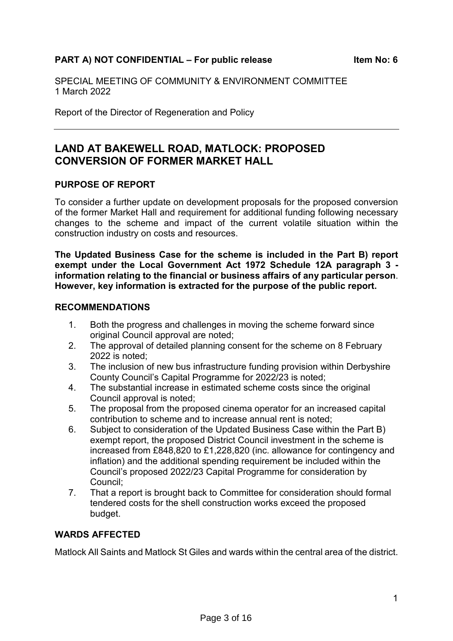## **PART A) NOT CONFIDENTIAL – For public release Item No: 6**

SPECIAL MEETING OF COMMUNITY & ENVIRONMENT COMMITTEE 1 March 2022

Report of the Director of Regeneration and Policy

## **LAND AT BAKEWELL ROAD, MATLOCK: PROPOSED CONVERSION OF FORMER MARKET HALL**

#### **PURPOSE OF REPORT**

To consider a further update on development proposals for the proposed conversion of the former Market Hall and requirement for additional funding following necessary changes to the scheme and impact of the current volatile situation within the construction industry on costs and resources.

**The Updated Business Case for the scheme is included in the Part B) report exempt under the Local Government Act 1972 Schedule 12A paragraph 3 information relating to the financial or business affairs of any particular person**. **However, key information is extracted for the purpose of the public report.**

#### **RECOMMENDATIONS**

- 1. Both the progress and challenges in moving the scheme forward since original Council approval are noted;
- 2. The approval of detailed planning consent for the scheme on 8 February 2022 is noted;
- 3. The inclusion of new bus infrastructure funding provision within Derbyshire County Council's Capital Programme for 2022/23 is noted;
- 4. The substantial increase in estimated scheme costs since the original Council approval is noted;
- 5. The proposal from the proposed cinema operator for an increased capital contribution to scheme and to increase annual rent is noted;
- 6. Subject to consideration of the Updated Business Case within the Part B) exempt report, the proposed District Council investment in the scheme is increased from £848,820 to £1,228,820 (inc. allowance for contingency and inflation) and the additional spending requirement be included within the Council's proposed 2022/23 Capital Programme for consideration by Council;
- 7. That a report is brought back to Committee for consideration should formal tendered costs for the shell construction works exceed the proposed budget.

### **WARDS AFFECTED**

Matlock All Saints and Matlock St Giles and wards within the central area of the district.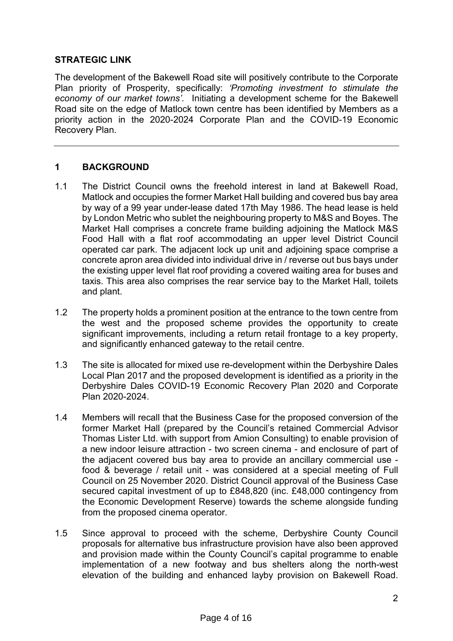## **STRATEGIC LINK**

The development of the Bakewell Road site will positively contribute to the Corporate Plan priority of Prosperity, specifically: *'Promoting investment to stimulate the economy of our market towns'*. Initiating a development scheme for the Bakewell Road site on the edge of Matlock town centre has been identified by Members as a priority action in the 2020-2024 Corporate Plan and the COVID-19 Economic Recovery Plan.

## **1 BACKGROUND**

- 1.1 The District Council owns the freehold interest in land at Bakewell Road, Matlock and occupies the former Market Hall building and covered bus bay area by way of a 99 year under-lease dated 17th May 1986. The head lease is held by London Metric who sublet the neighbouring property to M&S and Boyes. The Market Hall comprises a concrete frame building adjoining the Matlock M&S Food Hall with a flat roof accommodating an upper level District Council operated car park. The adjacent lock up unit and adjoining space comprise a concrete apron area divided into individual drive in / reverse out bus bays under the existing upper level flat roof providing a covered waiting area for buses and taxis. This area also comprises the rear service bay to the Market Hall, toilets and plant.
- 1.2 The property holds a prominent position at the entrance to the town centre from the west and the proposed scheme provides the opportunity to create significant improvements, including a return retail frontage to a key property, and significantly enhanced gateway to the retail centre.
- 1.3 The site is allocated for mixed use re-development within the Derbyshire Dales Local Plan 2017 and the proposed development is identified as a priority in the Derbyshire Dales COVID-19 Economic Recovery Plan 2020 and Corporate Plan 2020-2024.
- 1.4 Members will recall that the Business Case for the proposed conversion of the former Market Hall (prepared by the Council's retained Commercial Advisor Thomas Lister Ltd. with support from Amion Consulting) to enable provision of a new indoor leisure attraction - two screen cinema - and enclosure of part of the adjacent covered bus bay area to provide an ancillary commercial use food & beverage / retail unit - was considered at a special meeting of Full Council on 25 November 2020. District Council approval of the Business Case secured capital investment of up to £848,820 (inc. £48,000 contingency from the Economic Development Reserve) towards the scheme alongside funding from the proposed cinema operator.
- 1.5 Since approval to proceed with the scheme, Derbyshire County Council proposals for alternative bus infrastructure provision have also been approved and provision made within the County Council's capital programme to enable implementation of a new footway and bus shelters along the north-west elevation of the building and enhanced layby provision on Bakewell Road.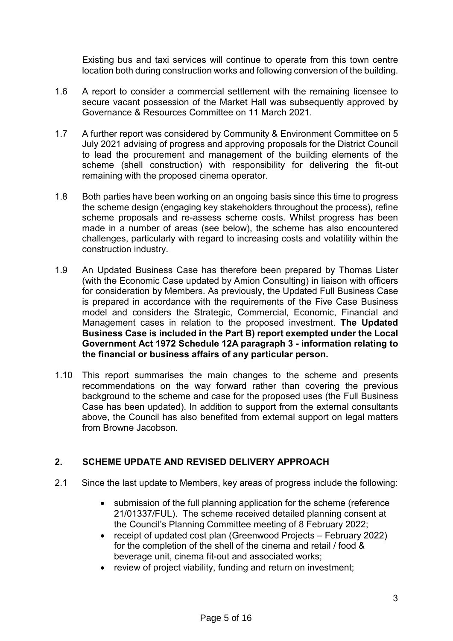Existing bus and taxi services will continue to operate from this town centre location both during construction works and following conversion of the building.

- 1.6 A report to consider a commercial settlement with the remaining licensee to secure vacant possession of the Market Hall was subsequently approved by Governance & Resources Committee on 11 March 2021.
- 1.7 A further report was considered by Community & Environment Committee on 5 July 2021 advising of progress and approving proposals for the District Council to lead the procurement and management of the building elements of the scheme (shell construction) with responsibility for delivering the fit-out remaining with the proposed cinema operator.
- 1.8 Both parties have been working on an ongoing basis since this time to progress the scheme design (engaging key stakeholders throughout the process), refine scheme proposals and re-assess scheme costs. Whilst progress has been made in a number of areas (see below), the scheme has also encountered challenges, particularly with regard to increasing costs and volatility within the construction industry.
- 1.9 An Updated Business Case has therefore been prepared by Thomas Lister (with the Economic Case updated by Amion Consulting) in liaison with officers for consideration by Members. As previously, the Updated Full Business Case is prepared in accordance with the requirements of the Five Case Business model and considers the Strategic, Commercial, Economic, Financial and Management cases in relation to the proposed investment. **The Updated Business Case is included in the Part B) report exempted under the Local Government Act 1972 Schedule 12A paragraph 3 - information relating to the financial or business affairs of any particular person.**
- 1.10 This report summarises the main changes to the scheme and presents recommendations on the way forward rather than covering the previous background to the scheme and case for the proposed uses (the Full Business Case has been updated). In addition to support from the external consultants above, the Council has also benefited from external support on legal matters from Browne Jacobson.

## **2. SCHEME UPDATE AND REVISED DELIVERY APPROACH**

- 2.1 Since the last update to Members, key areas of progress include the following:
	- submission of the full planning application for the scheme (reference 21/01337/FUL). The scheme received detailed planning consent at the Council's Planning Committee meeting of 8 February 2022;
	- receipt of updated cost plan (Greenwood Projects February 2022) for the completion of the shell of the cinema and retail / food & beverage unit, cinema fit-out and associated works;
	- review of project viability, funding and return on investment;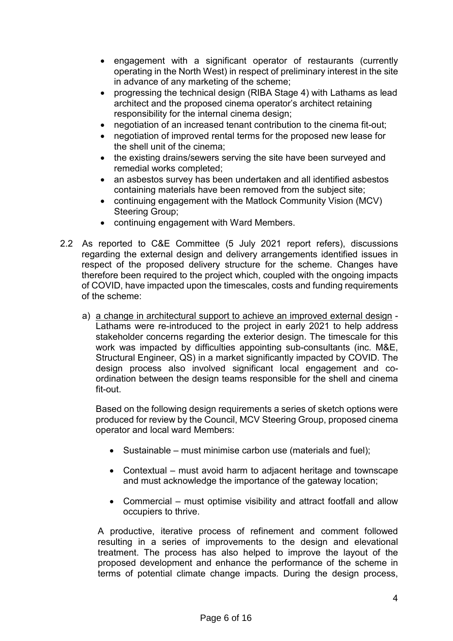- engagement with a significant operator of restaurants (currently operating in the North West) in respect of preliminary interest in the site in advance of any marketing of the scheme;
- progressing the technical design (RIBA Stage 4) with Lathams as lead architect and the proposed cinema operator's architect retaining responsibility for the internal cinema design;
- negotiation of an increased tenant contribution to the cinema fit-out:
- negotiation of improved rental terms for the proposed new lease for the shell unit of the cinema;
- the existing drains/sewers serving the site have been surveyed and remedial works completed;
- an asbestos survey has been undertaken and all identified asbestos containing materials have been removed from the subject site;
- continuing engagement with the Matlock Community Vision (MCV) Steering Group;
- continuing engagement with Ward Members.
- 2.2 As reported to C&E Committee (5 July 2021 report refers), discussions regarding the external design and delivery arrangements identified issues in respect of the proposed delivery structure for the scheme. Changes have therefore been required to the project which, coupled with the ongoing impacts of COVID, have impacted upon the timescales, costs and funding requirements of the scheme:
	- a) a change in architectural support to achieve an improved external design Lathams were re-introduced to the project in early 2021 to help address stakeholder concerns regarding the exterior design. The timescale for this work was impacted by difficulties appointing sub-consultants (inc. M&E, Structural Engineer, QS) in a market significantly impacted by COVID. The design process also involved significant local engagement and coordination between the design teams responsible for the shell and cinema fit-out.

Based on the following design requirements a series of sketch options were produced for review by the Council, MCV Steering Group, proposed cinema operator and local ward Members:

- Sustainable must minimise carbon use (materials and fuel);
- Contextual must avoid harm to adjacent heritage and townscape and must acknowledge the importance of the gateway location;
- Commercial must optimise visibility and attract footfall and allow occupiers to thrive.

A productive, iterative process of refinement and comment followed resulting in a series of improvements to the design and elevational treatment. The process has also helped to improve the layout of the proposed development and enhance the performance of the scheme in terms of potential climate change impacts. During the design process,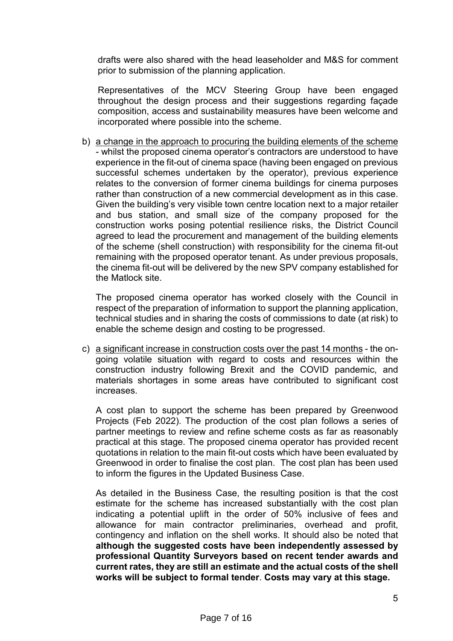drafts were also shared with the head leaseholder and M&S for comment prior to submission of the planning application.

Representatives of the MCV Steering Group have been engaged throughout the design process and their suggestions regarding façade composition, access and sustainability measures have been welcome and incorporated where possible into the scheme.

b) a change in the approach to procuring the building elements of the scheme - whilst the proposed cinema operator's contractors are understood to have experience in the fit-out of cinema space (having been engaged on previous successful schemes undertaken by the operator), previous experience relates to the conversion of former cinema buildings for cinema purposes rather than construction of a new commercial development as in this case. Given the building's very visible town centre location next to a major retailer and bus station, and small size of the company proposed for the construction works posing potential resilience risks, the District Council agreed to lead the procurement and management of the building elements of the scheme (shell construction) with responsibility for the cinema fit-out remaining with the proposed operator tenant. As under previous proposals, the cinema fit-out will be delivered by the new SPV company established for the Matlock site.

The proposed cinema operator has worked closely with the Council in respect of the preparation of information to support the planning application, technical studies and in sharing the costs of commissions to date (at risk) to enable the scheme design and costing to be progressed.

c) a significant increase in construction costs over the past 14 months - the ongoing volatile situation with regard to costs and resources within the construction industry following Brexit and the COVID pandemic, and materials shortages in some areas have contributed to significant cost increases.

A cost plan to support the scheme has been prepared by Greenwood Projects (Feb 2022). The production of the cost plan follows a series of partner meetings to review and refine scheme costs as far as reasonably practical at this stage. The proposed cinema operator has provided recent quotations in relation to the main fit-out costs which have been evaluated by Greenwood in order to finalise the cost plan. The cost plan has been used to inform the figures in the Updated Business Case.

As detailed in the Business Case, the resulting position is that the cost estimate for the scheme has increased substantially with the cost plan indicating a potential uplift in the order of 50% inclusive of fees and allowance for main contractor preliminaries, overhead and profit, contingency and inflation on the shell works. It should also be noted that **although the suggested costs have been independently assessed by professional Quantity Surveyors based on recent tender awards and current rates, they are still an estimate and the actual costs of the shell works will be subject to formal tender**. **Costs may vary at this stage.**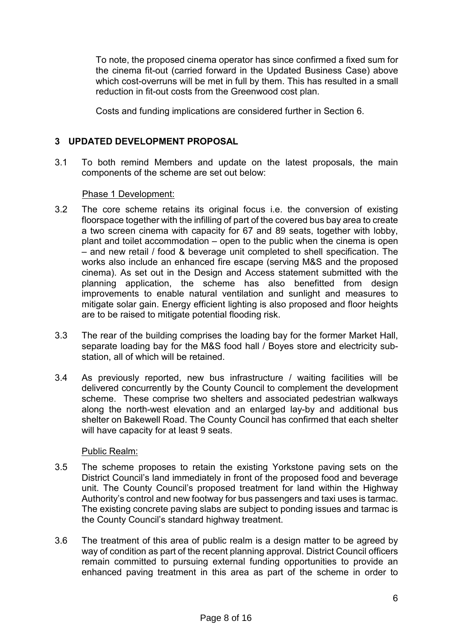To note, the proposed cinema operator has since confirmed a fixed sum for the cinema fit-out (carried forward in the Updated Business Case) above which cost-overruns will be met in full by them. This has resulted in a small reduction in fit-out costs from the Greenwood cost plan.

Costs and funding implications are considered further in Section 6.

## **3 UPDATED DEVELOPMENT PROPOSAL**

3.1 To both remind Members and update on the latest proposals, the main components of the scheme are set out below:

## Phase 1 Development:

- 3.2 The core scheme retains its original focus i.e. the conversion of existing floorspace together with the infilling of part of the covered bus bay area to create a two screen cinema with capacity for 67 and 89 seats, together with lobby, plant and toilet accommodation – open to the public when the cinema is open – and new retail / food & beverage unit completed to shell specification. The works also include an enhanced fire escape (serving M&S and the proposed cinema). As set out in the Design and Access statement submitted with the planning application, the scheme has also benefitted from design improvements to enable natural ventilation and sunlight and measures to mitigate solar gain. Energy efficient lighting is also proposed and floor heights are to be raised to mitigate potential flooding risk.
- 3.3 The rear of the building comprises the loading bay for the former Market Hall, separate loading bay for the M&S food hall / Boyes store and electricity substation, all of which will be retained.
- 3.4 As previously reported, new bus infrastructure / waiting facilities will be delivered concurrently by the County Council to complement the development scheme. These comprise two shelters and associated pedestrian walkways along the north-west elevation and an enlarged lay-by and additional bus shelter on Bakewell Road. The County Council has confirmed that each shelter will have capacity for at least 9 seats.

#### Public Realm:

- 3.5 The scheme proposes to retain the existing Yorkstone paving sets on the District Council's land immediately in front of the proposed food and beverage unit. The County Council's proposed treatment for land within the Highway Authority's control and new footway for bus passengers and taxi uses is tarmac. The existing concrete paving slabs are subject to ponding issues and tarmac is the County Council's standard highway treatment.
- 3.6 The treatment of this area of public realm is a design matter to be agreed by way of condition as part of the recent planning approval. District Council officers remain committed to pursuing external funding opportunities to provide an enhanced paving treatment in this area as part of the scheme in order to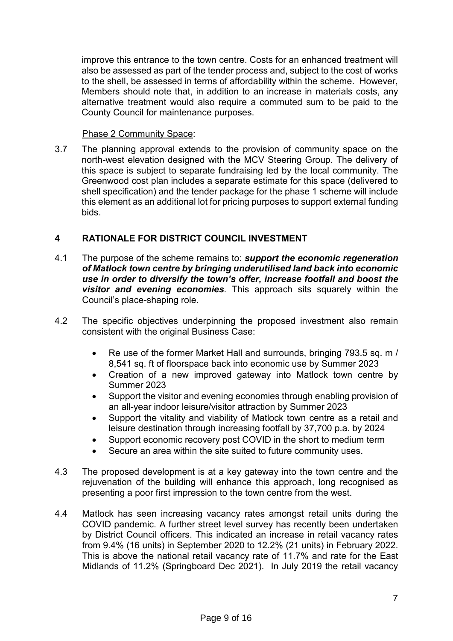improve this entrance to the town centre. Costs for an enhanced treatment will also be assessed as part of the tender process and, subject to the cost of works to the shell, be assessed in terms of affordability within the scheme. However, Members should note that, in addition to an increase in materials costs, any alternative treatment would also require a commuted sum to be paid to the County Council for maintenance purposes.

#### Phase 2 Community Space:

3.7 The planning approval extends to the provision of community space on the north-west elevation designed with the MCV Steering Group. The delivery of this space is subject to separate fundraising led by the local community. The Greenwood cost plan includes a separate estimate for this space (delivered to shell specification) and the tender package for the phase 1 scheme will include this element as an additional lot for pricing purposes to support external funding bids.

## **4 RATIONALE FOR DISTRICT COUNCIL INVESTMENT**

- 4.1 The purpose of the scheme remains to: *support the economic regeneration of Matlock town centre by bringing underutilised land back into economic use in order to diversify the town's offer, increase footfall and boost the visitor and evening economies.* This approach sits squarely within the Council's place-shaping role.
- 4.2 The specific objectives underpinning the proposed investment also remain consistent with the original Business Case:
	- Re use of the former Market Hall and surrounds, bringing 793.5 sq. m / 8,541 sq. ft of floorspace back into economic use by Summer 2023
	- Creation of a new improved gateway into Matlock town centre by Summer 2023
	- Support the visitor and evening economies through enabling provision of an all-year indoor leisure/visitor attraction by Summer 2023
	- Support the vitality and viability of Matlock town centre as a retail and leisure destination through increasing footfall by 37,700 p.a. by 2024
	- Support economic recovery post COVID in the short to medium term
	- Secure an area within the site suited to future community uses.
- 4.3 The proposed development is at a key gateway into the town centre and the rejuvenation of the building will enhance this approach, long recognised as presenting a poor first impression to the town centre from the west.
- 4.4 Matlock has seen increasing vacancy rates amongst retail units during the COVID pandemic. A further street level survey has recently been undertaken by District Council officers. This indicated an increase in retail vacancy rates from 9.4% (16 units) in September 2020 to 12.2% (21 units) in February 2022. This is above the national retail vacancy rate of 11.7% and rate for the East Midlands of 11.2% (Springboard Dec 2021). In July 2019 the retail vacancy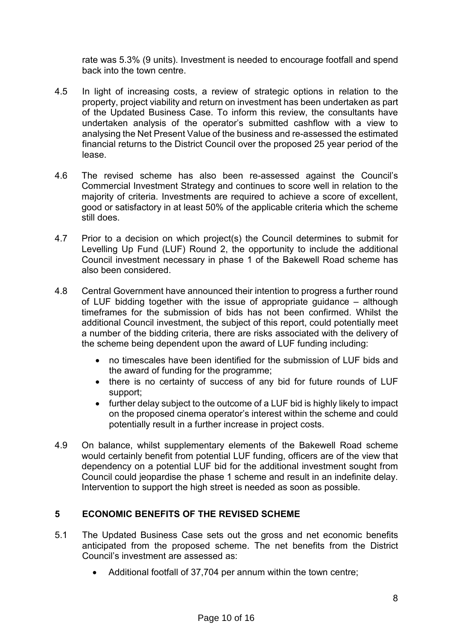rate was 5.3% (9 units). Investment is needed to encourage footfall and spend back into the town centre.

- 4.5 In light of increasing costs, a review of strategic options in relation to the property, project viability and return on investment has been undertaken as part of the Updated Business Case. To inform this review, the consultants have undertaken analysis of the operator's submitted cashflow with a view to analysing the Net Present Value of the business and re-assessed the estimated financial returns to the District Council over the proposed 25 year period of the lease.
- 4.6 The revised scheme has also been re-assessed against the Council's Commercial Investment Strategy and continues to score well in relation to the majority of criteria. Investments are required to achieve a score of excellent, good or satisfactory in at least 50% of the applicable criteria which the scheme still does.
- 4.7 Prior to a decision on which project(s) the Council determines to submit for Levelling Up Fund (LUF) Round 2, the opportunity to include the additional Council investment necessary in phase 1 of the Bakewell Road scheme has also been considered.
- 4.8 Central Government have announced their intention to progress a further round of LUF bidding together with the issue of appropriate guidance – although timeframes for the submission of bids has not been confirmed. Whilst the additional Council investment, the subject of this report, could potentially meet a number of the bidding criteria, there are risks associated with the delivery of the scheme being dependent upon the award of LUF funding including:
	- no timescales have been identified for the submission of LUF bids and the award of funding for the programme;
	- there is no certainty of success of any bid for future rounds of LUF support;
	- further delay subject to the outcome of a LUF bid is highly likely to impact on the proposed cinema operator's interest within the scheme and could potentially result in a further increase in project costs.
- 4.9 On balance, whilst supplementary elements of the Bakewell Road scheme would certainly benefit from potential LUF funding, officers are of the view that dependency on a potential LUF bid for the additional investment sought from Council could jeopardise the phase 1 scheme and result in an indefinite delay. Intervention to support the high street is needed as soon as possible.

## **5 ECONOMIC BENEFITS OF THE REVISED SCHEME**

- 5.1 The Updated Business Case sets out the gross and net economic benefits anticipated from the proposed scheme. The net benefits from the District Council's investment are assessed as:
	- Additional footfall of 37,704 per annum within the town centre;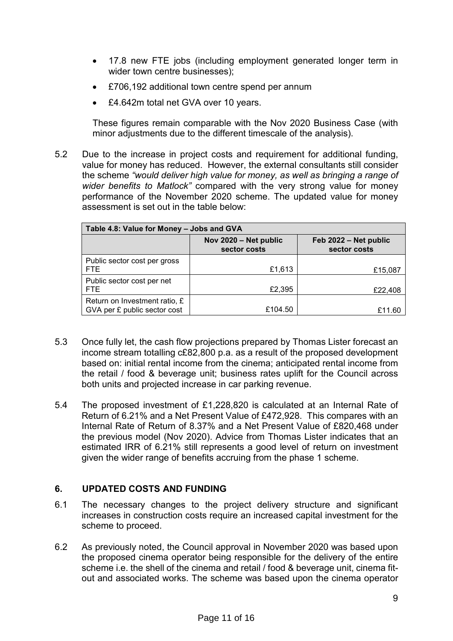- 17.8 new FTE jobs (including employment generated longer term in wider town centre businesses);
- £706,192 additional town centre spend per annum
- £4.642m total net GVA over 10 years.

These figures remain comparable with the Nov 2020 Business Case (with minor adjustments due to the different timescale of the analysis).

5.2 Due to the increase in project costs and requirement for additional funding, value for money has reduced. However, the external consultants still consider the scheme *"would deliver high value for money, as well as bringing a range of wider benefits to Matlock"* compared with the very strong value for money performance of the November 2020 scheme. The updated value for money assessment is set out in the table below:

| Table 4.8: Value for Money - Jobs and GVA                     |                                       |                                       |
|---------------------------------------------------------------|---------------------------------------|---------------------------------------|
|                                                               | Nov 2020 - Net public<br>sector costs | Feb 2022 – Net public<br>sector costs |
| Public sector cost per gross<br>FTE.                          | £1,613                                | £15,087                               |
| Public sector cost per net<br>FTE.                            | £2,395                                | £22,408                               |
| Return on Investment ratio, £<br>GVA per £ public sector cost | £104.50                               | £11.60                                |

- 5.3 Once fully let, the cash flow projections prepared by Thomas Lister forecast an income stream totalling c£82,800 p.a. as a result of the proposed development based on: initial rental income from the cinema; anticipated rental income from the retail / food & beverage unit; business rates uplift for the Council across both units and projected increase in car parking revenue.
- 5.4 The proposed investment of £1,228,820 is calculated at an Internal Rate of Return of 6.21% and a Net Present Value of £472,928. This compares with an Internal Rate of Return of 8.37% and a Net Present Value of £820,468 under the previous model (Nov 2020). Advice from Thomas Lister indicates that an estimated IRR of 6.21% still represents a good level of return on investment given the wider range of benefits accruing from the phase 1 scheme.

## **6. UPDATED COSTS AND FUNDING**

- 6.1 The necessary changes to the project delivery structure and significant increases in construction costs require an increased capital investment for the scheme to proceed.
- 6.2 As previously noted, the Council approval in November 2020 was based upon the proposed cinema operator being responsible for the delivery of the entire scheme i.e. the shell of the cinema and retail / food & beverage unit, cinema fitout and associated works. The scheme was based upon the cinema operator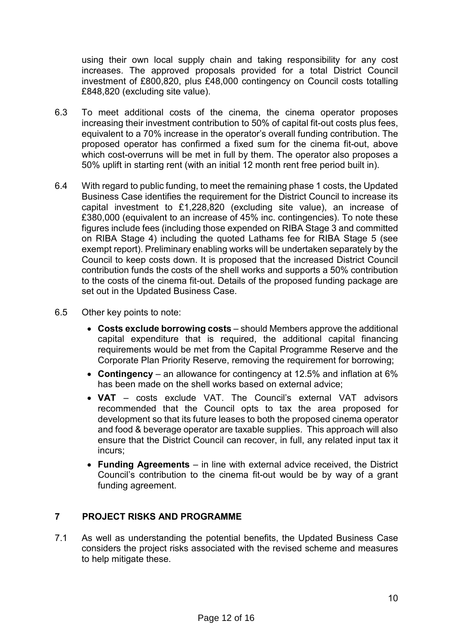using their own local supply chain and taking responsibility for any cost increases. The approved proposals provided for a total District Council investment of £800,820, plus £48,000 contingency on Council costs totalling £848,820 (excluding site value).

- 6.3 To meet additional costs of the cinema, the cinema operator proposes increasing their investment contribution to 50% of capital fit-out costs plus fees, equivalent to a 70% increase in the operator's overall funding contribution. The proposed operator has confirmed a fixed sum for the cinema fit-out, above which cost-overruns will be met in full by them. The operator also proposes a 50% uplift in starting rent (with an initial 12 month rent free period built in).
- 6.4 With regard to public funding, to meet the remaining phase 1 costs, the Updated Business Case identifies the requirement for the District Council to increase its capital investment to £1,228,820 (excluding site value), an increase of £380,000 (equivalent to an increase of 45% inc. contingencies). To note these figures include fees (including those expended on RIBA Stage 3 and committed on RIBA Stage 4) including the quoted Lathams fee for RIBA Stage 5 (see exempt report). Preliminary enabling works will be undertaken separately by the Council to keep costs down. It is proposed that the increased District Council contribution funds the costs of the shell works and supports a 50% contribution to the costs of the cinema fit-out. Details of the proposed funding package are set out in the Updated Business Case.
- 6.5 Other key points to note:
	- **Costs exclude borrowing costs**  should Members approve the additional capital expenditure that is required, the additional capital financing requirements would be met from the Capital Programme Reserve and the Corporate Plan Priority Reserve, removing the requirement for borrowing;
	- **Contingency** an allowance for contingency at 12.5% and inflation at 6% has been made on the shell works based on external advice;
	- **VAT**  costs exclude VAT. The Council's external VAT advisors recommended that the Council opts to tax the area proposed for development so that its future leases to both the proposed cinema operator and food & beverage operator are taxable supplies. This approach will also ensure that the District Council can recover, in full, any related input tax it incurs;
	- **Funding Agreements** in line with external advice received, the District Council's contribution to the cinema fit-out would be by way of a grant funding agreement.

## **7 PROJECT RISKS AND PROGRAMME**

7.1 As well as understanding the potential benefits, the Updated Business Case considers the project risks associated with the revised scheme and measures to help mitigate these.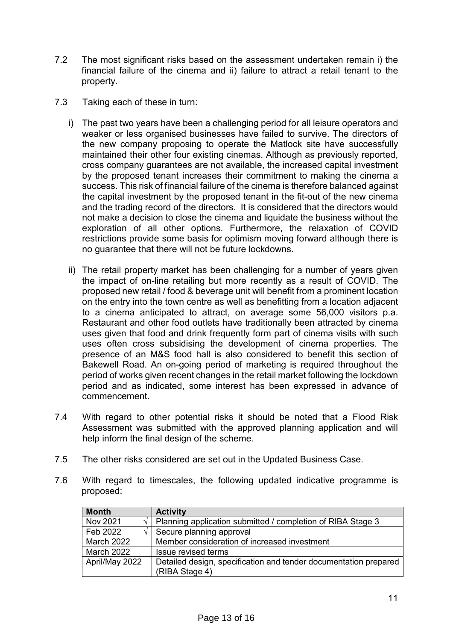- 7.2 The most significant risks based on the assessment undertaken remain i) the financial failure of the cinema and ii) failure to attract a retail tenant to the property.
- 7.3 Taking each of these in turn:
	- i) The past two years have been a challenging period for all leisure operators and weaker or less organised businesses have failed to survive. The directors of the new company proposing to operate the Matlock site have successfully maintained their other four existing cinemas. Although as previously reported, cross company guarantees are not available, the increased capital investment by the proposed tenant increases their commitment to making the cinema a success. This risk of financial failure of the cinema is therefore balanced against the capital investment by the proposed tenant in the fit-out of the new cinema and the trading record of the directors. It is considered that the directors would not make a decision to close the cinema and liquidate the business without the exploration of all other options. Furthermore, the relaxation of COVID restrictions provide some basis for optimism moving forward although there is no guarantee that there will not be future lockdowns.
	- ii) The retail property market has been challenging for a number of years given the impact of on-line retailing but more recently as a result of COVID. The proposed new retail / food & beverage unit will benefit from a prominent location on the entry into the town centre as well as benefitting from a location adjacent to a cinema anticipated to attract, on average some 56,000 visitors p.a. Restaurant and other food outlets have traditionally been attracted by cinema uses given that food and drink frequently form part of cinema visits with such uses often cross subsidising the development of cinema properties. The presence of an M&S food hall is also considered to benefit this section of Bakewell Road. An on-going period of marketing is required throughout the period of works given recent changes in the retail market following the lockdown period and as indicated, some interest has been expressed in advance of commencement.
- 7.4 With regard to other potential risks it should be noted that a Flood Risk Assessment was submitted with the approved planning application and will help inform the final design of the scheme.
- 7.5 The other risks considered are set out in the Updated Business Case.
- 7.6 With regard to timescales, the following updated indicative programme is proposed:

| <b>Month</b>      | <b>Activity</b>                                                  |
|-------------------|------------------------------------------------------------------|
| Nov 2021          | Planning application submitted / completion of RIBA Stage 3      |
| Feb 2022          | Secure planning approval                                         |
| <b>March 2022</b> | Member consideration of increased investment                     |
| <b>March 2022</b> | <b>Issue revised terms</b>                                       |
| April/May 2022    | Detailed design, specification and tender documentation prepared |
|                   | (RIBA Stage 4)                                                   |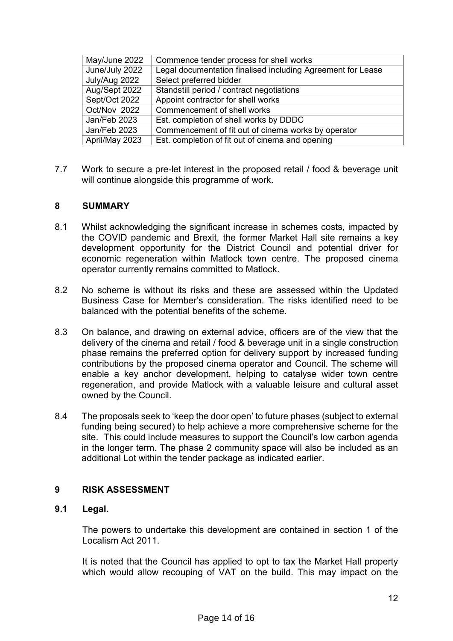| May/June 2022  | Commence tender process for shell works                     |
|----------------|-------------------------------------------------------------|
| June/July 2022 | Legal documentation finalised including Agreement for Lease |
| July/Aug 2022  | Select preferred bidder                                     |
| Aug/Sept 2022  | Standstill period / contract negotiations                   |
| Sept/Oct 2022  | Appoint contractor for shell works                          |
| Oct/Nov 2022   | Commencement of shell works                                 |
| Jan/Feb 2023   | Est. completion of shell works by DDDC                      |
| Jan/Feb 2023   | Commencement of fit out of cinema works by operator         |
| April/May 2023 | Est. completion of fit out of cinema and opening            |

7.7 Work to secure a pre-let interest in the proposed retail / food & beverage unit will continue alongside this programme of work.

## **8 SUMMARY**

- 8.1 Whilst acknowledging the significant increase in schemes costs, impacted by the COVID pandemic and Brexit, the former Market Hall site remains a key development opportunity for the District Council and potential driver for economic regeneration within Matlock town centre. The proposed cinema operator currently remains committed to Matlock.
- 8.2 No scheme is without its risks and these are assessed within the Updated Business Case for Member's consideration. The risks identified need to be balanced with the potential benefits of the scheme.
- 8.3 On balance, and drawing on external advice, officers are of the view that the delivery of the cinema and retail / food & beverage unit in a single construction phase remains the preferred option for delivery support by increased funding contributions by the proposed cinema operator and Council. The scheme will enable a key anchor development, helping to catalyse wider town centre regeneration, and provide Matlock with a valuable leisure and cultural asset owned by the Council.
- 8.4 The proposals seek to 'keep the door open' to future phases (subject to external funding being secured) to help achieve a more comprehensive scheme for the site. This could include measures to support the Council's low carbon agenda in the longer term. The phase 2 community space will also be included as an additional Lot within the tender package as indicated earlier.

#### **9 RISK ASSESSMENT**

#### **9.1 Legal.**

The powers to undertake this development are contained in section 1 of the Localism Act 2011.

It is noted that the Council has applied to opt to tax the Market Hall property which would allow recouping of VAT on the build. This may impact on the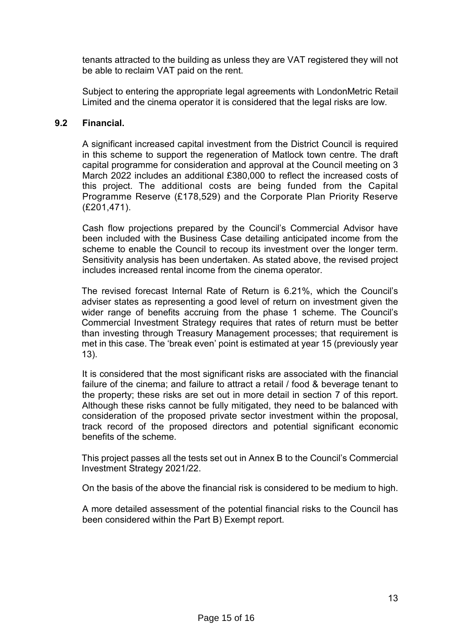tenants attracted to the building as unless they are VAT registered they will not be able to reclaim VAT paid on the rent.

Subject to entering the appropriate legal agreements with LondonMetric Retail Limited and the cinema operator it is considered that the legal risks are low.

#### **9.2 Financial.**

A significant increased capital investment from the District Council is required in this scheme to support the regeneration of Matlock town centre. The draft capital programme for consideration and approval at the Council meeting on 3 March 2022 includes an additional £380,000 to reflect the increased costs of this project. The additional costs are being funded from the Capital Programme Reserve (£178,529) and the Corporate Plan Priority Reserve (£201,471).

Cash flow projections prepared by the Council's Commercial Advisor have been included with the Business Case detailing anticipated income from the scheme to enable the Council to recoup its investment over the longer term. Sensitivity analysis has been undertaken. As stated above, the revised project includes increased rental income from the cinema operator.

The revised forecast Internal Rate of Return is 6.21%, which the Council's adviser states as representing a good level of return on investment given the wider range of benefits accruing from the phase 1 scheme. The Council's Commercial Investment Strategy requires that rates of return must be better than investing through Treasury Management processes; that requirement is met in this case. The 'break even' point is estimated at year 15 (previously year 13).

It is considered that the most significant risks are associated with the financial failure of the cinema; and failure to attract a retail / food & beverage tenant to the property; these risks are set out in more detail in section 7 of this report. Although these risks cannot be fully mitigated, they need to be balanced with consideration of the proposed private sector investment within the proposal, track record of the proposed directors and potential significant economic benefits of the scheme.

This project passes all the tests set out in Annex B to the Council's Commercial Investment Strategy 2021/22.

On the basis of the above the financial risk is considered to be medium to high.

A more detailed assessment of the potential financial risks to the Council has been considered within the Part B) Exempt report.